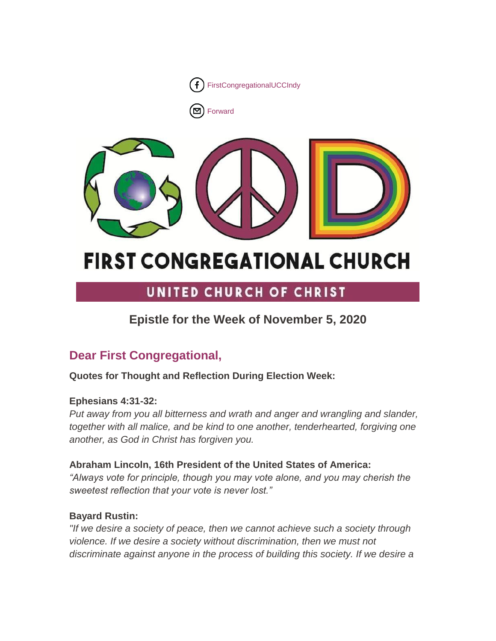

[Forward](http://us16.forward-to-friend.com/forward?u=7a2e4c501545b6d78729a64a1&id=e406d5d5fa&e=%5bUNIQID%5d)



# **FIRST CONGREGATIONAL CHURCH**

# UNITED CHURCH OF CHRIST

# **Epistle for the Week of November 5, 2020**

# **Dear First Congregational,**

# **Quotes for Thought and Reflection During Election Week:**

# **Ephesians 4:31-32:**

*Put away from you all bitterness and wrath and anger and wrangling and slander, together with all malice, and be kind to one another, tenderhearted, forgiving one another, as God in Christ has forgiven you.*

# **Abraham Lincoln, 16th President of the United States of America:**

*"Always vote for principle, though you may vote alone, and you may cherish the sweetest reflection that your vote is never lost."*

# **Bayard Rustin:**

*"If we desire a society of peace, then we cannot achieve such a society through violence. If we desire a society without discrimination, then we must not discriminate against anyone in the process of building this society. If we desire a*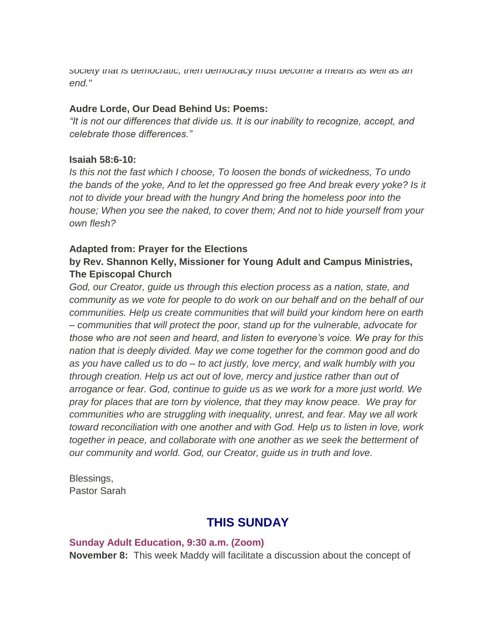*society that is democratic, then democracy must become a means as well as an end."*

#### **Audre Lorde, Our Dead Behind Us: Poems:**

*"It is not our differences that divide us. It is our inability to recognize, accept, and celebrate those differences."*

#### **Isaiah 58:6-10:**

*Is this not the fast which I choose, To loosen the bonds of wickedness, To undo the bands of the yoke, And to let the oppressed go free And break every yoke? Is it not to divide your bread with the hungry And bring the homeless poor into the house; When you see the naked, to cover them; And not to hide yourself from your own flesh?*

#### **Adapted from: Prayer for the Elections by Rev. Shannon Kelly, Missioner for Young Adult and Campus Ministries, The Episcopal Church**

*God, our Creator, guide us through this election process as a nation, state, and community as we vote for people to do work on our behalf and on the behalf of our communities. Help us create communities that will build your kindom here on earth – communities that will protect the poor, stand up for the vulnerable, advocate for those who are not seen and heard, and listen to everyone's voice. We pray for this nation that is deeply divided. May we come together for the common good and do as you have called us to do – to act justly, love mercy, and walk humbly with you through creation. Help us act out of love, mercy and justice rather than out of arrogance or fear. God, continue to guide us as we work for a more just world. We pray for places that are torn by violence, that they may know peace. We pray for communities who are struggling with inequality, unrest, and fear. May we all work toward reconciliation with one another and with God. Help us to listen in love, work together in peace, and collaborate with one another as we seek the betterment of our community and world. God, our Creator, guide us in truth and love.*

Blessings, Pastor Sarah

# **THIS SUNDAY**

#### **Sunday Adult Education, 9:30 a.m. (Zoom)**

**November 8:** This week Maddy will facilitate a discussion about the concept of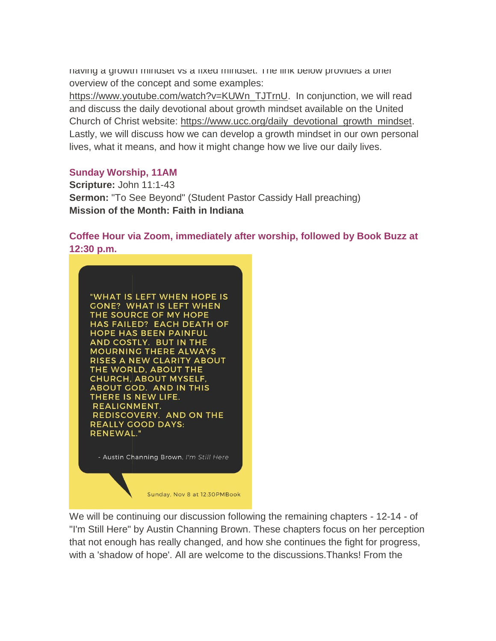having a growth mindset vs a fixed mindset. The link below provides a brief overview of the concept and some examples:

[https://www.youtube.com/watch?v=KUWn\\_TJTrnU.](https://www.youtube.com/watch?v=KUWn_TJTrnU) In conjunction, we will read and discuss the daily devotional about growth mindset available on the United Church of Christ website: [https://www.ucc.org/daily\\_devotional\\_growth\\_mindset.](https://www.ucc.org/daily_devotional_growth_mindset) Lastly, we will discuss how we can develop a growth mindset in our own personal lives, what it means, and how it might change how we live our daily lives.

#### **Sunday Worship, 11AM**

**Scripture:** John 11:1-43 **Sermon:** "To See Beyond" (Student Pastor Cassidy Hall preaching) **Mission of the Month: Faith in Indiana**

**Coffee Hour via Zoom, immediately after worship, followed by Book Buzz at 12:30 p.m.**



We will be continuing our discussion following the remaining chapters - 12-14 - of "I'm Still Here" by Austin Channing Brown. These chapters focus on her perception that not enough has really changed, and how she continues the fight for progress, with a 'shadow of hope'. All are welcome to the discussions.Thanks! From the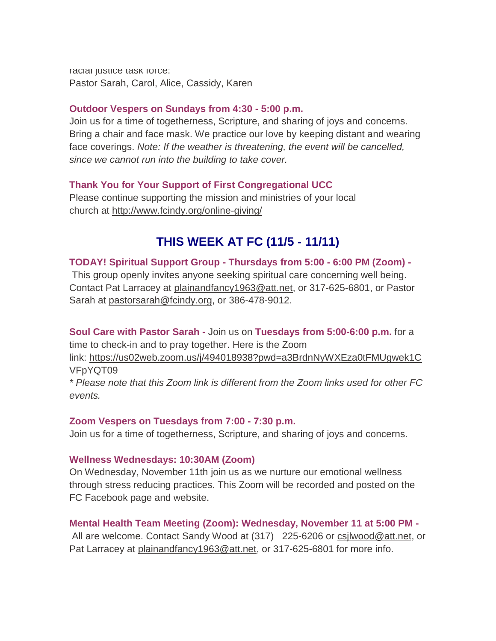racial justice task force: Pastor Sarah, Carol, Alice, Cassidy, Karen

#### **Outdoor Vespers on Sundays from 4:30 - 5:00 p.m.**

Join us for a time of togetherness, Scripture, and sharing of joys and concerns. Bring a chair and face mask. We practice our love by keeping distant and wearing face coverings. *Note: If the weather is threatening, the event will be cancelled, since we cannot run into the building to take cover.*

### **Thank You for Your Support of First Congregational UCC**

Please continue supporting the mission and ministries of your local church at <http://www.fcindy.org/online-giving/>

# **THIS WEEK AT FC (11/5 - 11/11)**

**TODAY! Spiritual Support Group - Thursdays from 5:00 - 6:00 PM (Zoom) -** This group openly invites anyone seeking spiritual care concerning well being.

Contact Pat Larracey at [plainandfancy1963@att.net,](mailto:plainandfancy1963@att.net) or 317-625-6801, or Pastor Sarah at [pastorsarah@fcindy.org,](mailto:pastorsarah@fcindy.org) or 386-478-9012.

**Soul Care with Pastor Sarah -** Join us on **Tuesdays from 5:00-6:00 p.m.** for a time to check-in and to pray together. Here is the Zoom

link: [https://us02web.zoom.us/j/494018938?pwd=a3BrdnNyWXEza0tFMUgwek1C](https://us02web.zoom.us/j/494018938?pwd=a3BrdnNyWXEza0tFMUgwek1CVFpYQT09) [VFpYQT09](https://us02web.zoom.us/j/494018938?pwd=a3BrdnNyWXEza0tFMUgwek1CVFpYQT09)

*\* Please note that this Zoom link is different from the Zoom links used for other FC events.*

#### **Zoom Vespers on Tuesdays from 7:00 - 7:30 p.m.**

Join us for a time of togetherness, Scripture, and sharing of joys and concerns.

#### **Wellness Wednesdays: 10:30AM (Zoom)**

On Wednesday, November 11th join us as we nurture our emotional wellness through stress reducing practices. This Zoom will be recorded and posted on the FC Facebook page and website.

### **Mental Health Team Meeting (Zoom): Wednesday, November 11 at 5:00 PM -**

All are welcome. Contact Sandy Wood at (317)225-6206 or [csjlwood@att.net,](mailto:csjlwood@att.net) or Pat Larracey at [plainandfancy1963@att.net,](mailto:plainandfancy1963@att.net) or 317-625-6801 for more info.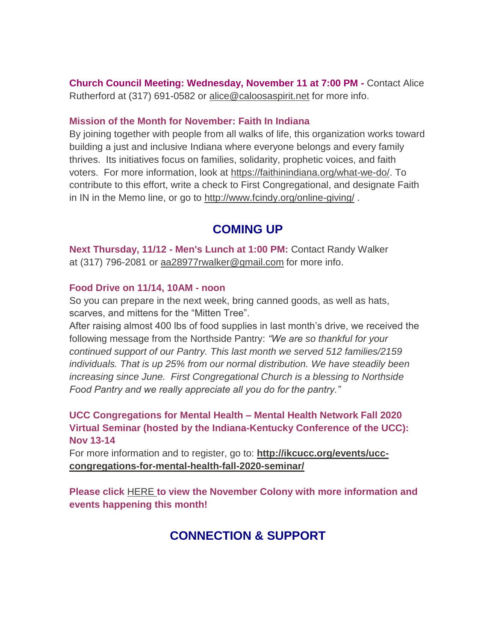**Church Council Meeting: Wednesday, November 11 at 7:00 PM -** Contact Alice Rutherford at (317) 691-0582 or [alice@caloosaspirit.net](mailto:alice@caloosaspirit.net) for more info.

#### **Mission of the Month for November: Faith In Indiana**

By joining together with people from all walks of life, this organization works toward building a just and inclusive Indiana where everyone belongs and every family thrives. Its initiatives focus on families, solidarity, prophetic voices, and faith voters. For more information, look at [https://faithinindiana.org/what-we-do/.](https://faithinindiana.org/what-we-do/) To contribute to this effort, write a check to First Congregational, and designate Faith in IN in the Memo line, or go to <http://www.fcindy.org/online-giving/> .

## **COMING UP**

**Next Thursday, 11/12 - Men's Lunch at 1:00 PM:** Contact Randy Walker at (317) 796-2081 or [aa28977rwalker@gmail.com](mailto:aa28977rwalker@gmail.com) for more info.

#### **Food Drive on 11/14, 10AM - noon**

So you can prepare in the next week, bring canned goods, as well as hats, scarves, and mittens for the "Mitten Tree".

After raising almost 400 lbs of food supplies in last month's drive, we received the following message from the Northside Pantry: *"We are so thankful for your continued support of our Pantry. This last month we served 512 families/2159 individuals. That is up 25% from our normal distribution. We have steadily been increasing since June. First Congregational Church is a blessing to Northside Food Pantry and we really appreciate all you do for the pantry."*

**UCC Congregations for Mental Health – Mental Health Network Fall 2020 Virtual Seminar (hosted by the Indiana-Kentucky Conference of the UCC): Nov 13-14**

For more information and to register, go to: **[http://ikcucc.org/events/ucc](http://ikcucc.org/events/ucc-congregations-for-mental-health-fall-2020-seminar/)[congregations-for-mental-health-fall-2020-seminar/](http://ikcucc.org/events/ucc-congregations-for-mental-health-fall-2020-seminar/)**

**Please click** [HERE](https://mcusercontent.com/7a2e4c501545b6d78729a64a1/files/adf9327a-c2f8-43ad-87e3-2bcf1f5d81e8/November_2020.01.pdf) **to view the November Colony with more information and events happening this month!**

# **CONNECTION & SUPPORT**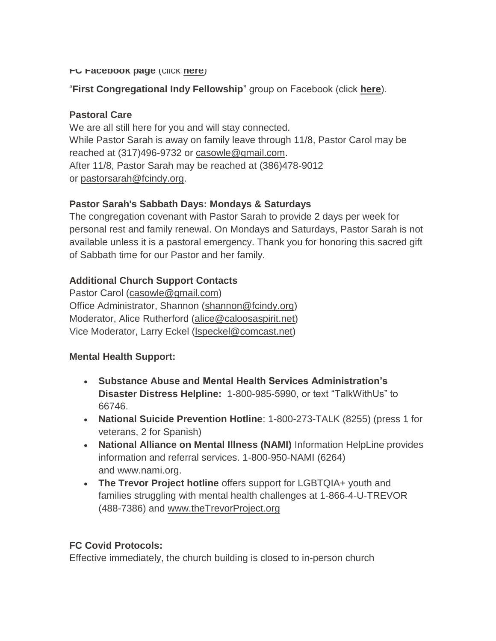#### **FC Facebook page** (click **[here](https://www.facebook.com/FirstCongregationalUCCIndy/)**)

#### "**First Congregational Indy Fellowship**" group on Facebook (click **[here](https://www.facebook.com/groups/521333455186422/)**).

#### **Pastoral Care**

We are all still here for you and will stay connected. While Pastor Sarah is away on family leave through 11/8, Pastor Carol may be reached at (317)496-9732 or [casowle@gmail.com.](mailto:casowle@gmail.com) After 11/8, Pastor Sarah may be reached at (386)478-9012 or [pastorsarah@fcindy.org.](mailto:pastorsarah@fcindy.org)

#### **Pastor Sarah's Sabbath Days: Mondays & Saturdays**

The congregation covenant with Pastor Sarah to provide 2 days per week for personal rest and family renewal. On Mondays and Saturdays, Pastor Sarah is not available unless it is a pastoral emergency. Thank you for honoring this sacred gift of Sabbath time for our Pastor and her family.

#### **Additional Church Support Contacts**

Pastor Carol [\(casowle@gmail.com\)](mailto:casowle@gmail.com) Office Administrator, Shannon [\(shannon@fcindy.org\)](mailto:shannon@fcindy.org) Moderator, Alice Rutherford [\(alice@caloosaspirit.net\)](mailto:alice@caloosaspirit.net) Vice Moderator, Larry Eckel [\(lspeckel@comcast.net\)](mailto:lspeckel@comcast.net)

#### **Mental Health Support:**

- **Substance Abuse and Mental Health Services Administration's Disaster Distress Helpline:** 1-800-985-5990, or text "TalkWithUs" to 66746.
- **National Suicide Prevention Hotline**: 1-800-273-TALK (8255) (press 1 for veterans, 2 for Spanish)
- **National Alliance on Mental Illness (NAMI)** Information HelpLine provides information and referral services. 1-800-950-NAMI (6264) and [www.nami.org.](http://www.nami.org/)
- **The Trevor Project hotline** offers support for LGBTQIA+ youth and families struggling with mental health challenges at 1-866-4-U-TREVOR (488-7386) and [www.theTrevorProject.org](http://www.thetrevorproject.org/)

#### **FC Covid Protocols:**

Effective immediately, the church building is closed to in-person church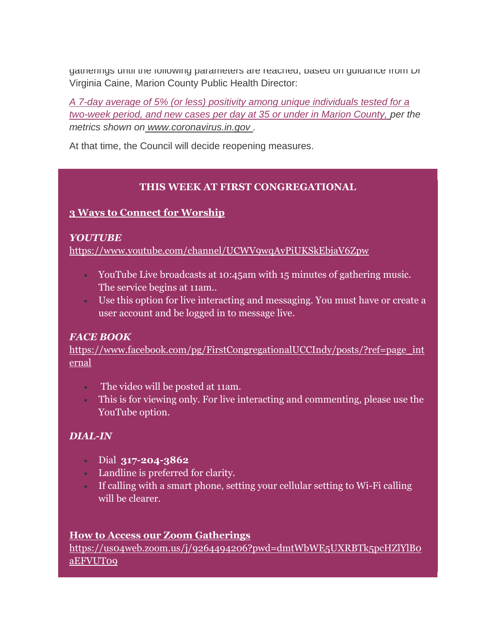gatherings until the following parameters are reached, based on guidance from Dr Virginia Caine, Marion County Public Health Director:

*A 7-day average of 5% (or less) positivity among unique individuals tested for a two-week period, and new cases per day at 35 or under in Marion County, per the metrics shown on [www.coronavirus.in.gov](http://www.coronavirus.in.gov/) .* 

At that time, the Council will decide reopening measures.

#### **THIS WEEK AT FIRST CONGREGATIONAL**

### **3 Ways to Connect for Worship**

#### *YOUTUBE*

<https://www.youtube.com/channel/UCWV9wqAvPiUKSkEbjaV6Zpw>

- YouTube Live broadcasts at 10:45am with 15 minutes of gathering music. The service begins at 11am..
- Use this option for live interacting and messaging. You must have or create a user account and be logged in to message live.

#### *FACE BOOK*

[https://www.facebook.com/pg/FirstCongregationalUCCIndy/posts/?ref=page\\_int](https://www.facebook.com/pg/FirstCongregationalUCCIndy/posts/?ref=page_internal) [ernal](https://www.facebook.com/pg/FirstCongregationalUCCIndy/posts/?ref=page_internal)

- The video will be posted at 11am.
- This is for viewing only. For live interacting and commenting, please use the YouTube option.

### *DIAL-IN*

- Dial **317-204-3862**
- Landline is preferred for clarity.
- If calling with a smart phone, setting your cellular setting to Wi-Fi calling will be clearer.

#### **How to Access our Zoom Gatherings**

[https://us04web.zoom.us/j/9264494206?pwd=dmtWbWE5UXRBTk5pcHZlYlB0](https://us04web.zoom.us/j/9264494206?pwd=dmtWbWE5UXRBTk5pcHZlYlB0aEFVUT09) [aEFVUT09](https://us04web.zoom.us/j/9264494206?pwd=dmtWbWE5UXRBTk5pcHZlYlB0aEFVUT09)